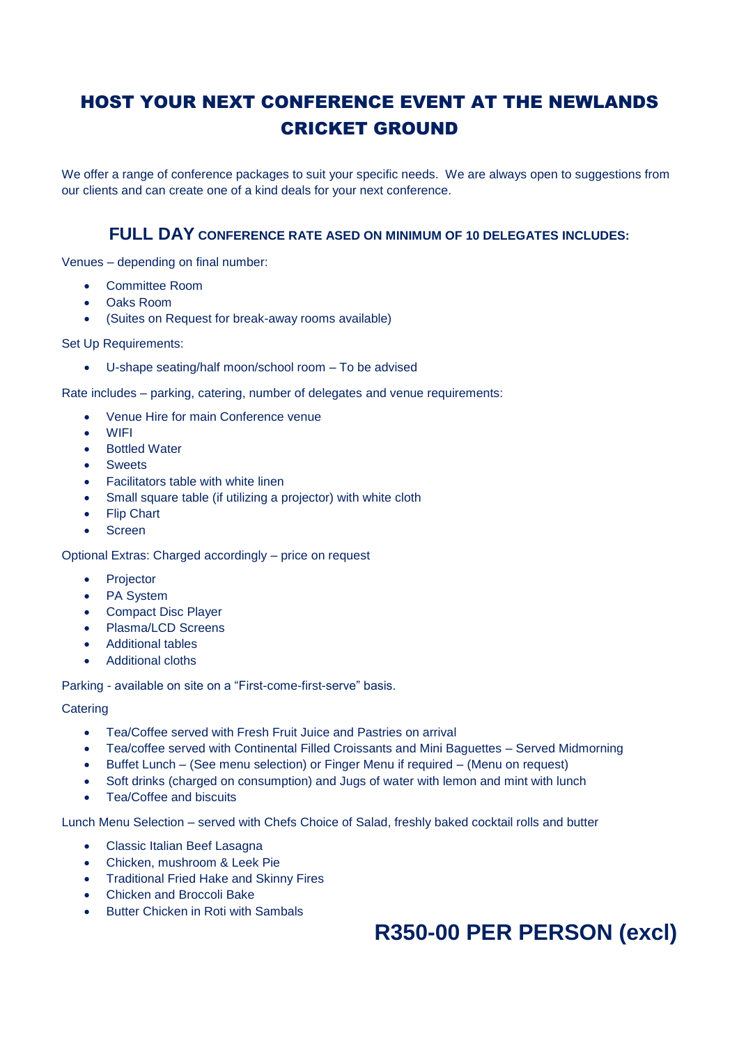## HOST YOUR NEXT CONFERENCE EVENT AT THE NEWLANDS CRICKET GROUND

We offer a range of conference packages to suit your specific needs. We are always open to suggestions from our clients and can create one of a kind deals for your next conference.

### **FULL DAY CONFERENCE RATE ASED ON MINIMUM OF 10 DELEGATES INCLUDES:**

Venues – depending on final number:

- Committee Room
- Oaks Room
- (Suites on Request for break-away rooms available)

Set Up Requirements:

• U-shape seating/half moon/school room – To be advised

Rate includes – parking, catering, number of delegates and venue requirements:

- Venue Hire for main Conference venue
- WIFI
- **Bottled Water**
- **Sweets**
- Facilitators table with white linen
- Small square table (if utilizing a projector) with white cloth
- Flip Chart
- **Screen**

Optional Extras: Charged accordingly – price on request

- Projector
- PA System
- Compact Disc Player
- Plasma/LCD Screens
- Additional tables
- Additional cloths

Parking - available on site on a "First-come-first-serve" basis.

#### **Catering**

- Tea/Coffee served with Fresh Fruit Juice and Pastries on arrival
- Tea/coffee served with Continental Filled Croissants and Mini Baguettes Served Midmorning
- Buffet Lunch (See menu selection) or Finger Menu if required (Menu on request)
- Soft drinks (charged on consumption) and Jugs of water with lemon and mint with lunch
- Tea/Coffee and biscuits

Lunch Menu Selection – served with Chefs Choice of Salad, freshly baked cocktail rolls and butter

- Classic Italian Beef Lasagna
- Chicken, mushroom & Leek Pie
- Traditional Fried Hake and Skinny Fires
- Chicken and Broccoli Bake
- Butter Chicken in Roti with Sambals

# **R350-00 PER PERSON (excl)**